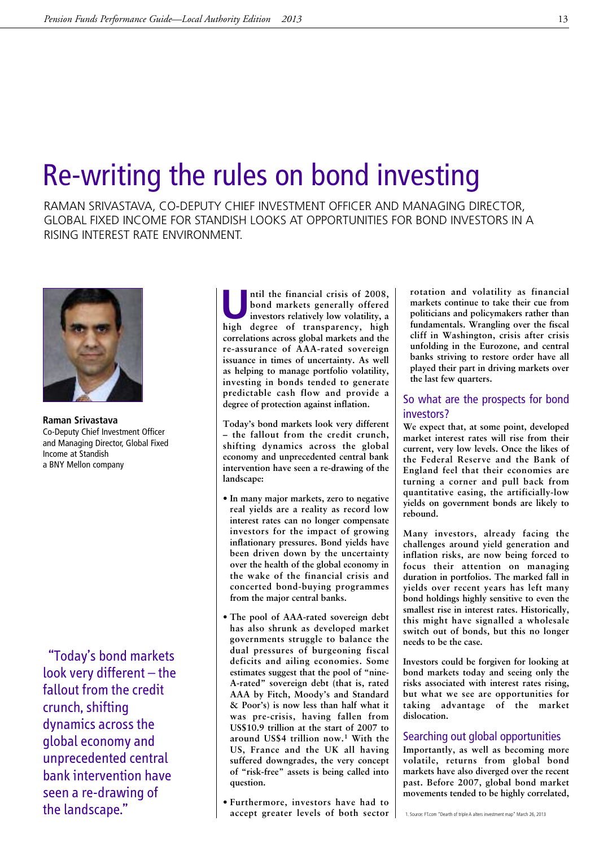## Re-writing the rules on bond investing

RAMAN SRIVASTAVA, CO-DEPUTY CHIEF INVESTMENT OFFICER AND MANAGING DIRECTOR, GLOBAL FIXED INCOME FOR STANDISH LOOKS AT OPPORTUNITIES FOR BOND INVESTORS IN A RISING INTEREST RATE ENVIRONMENT.



**Raman Srivastava** Co-Deputy Chief Investment Officer and Managing Director, Global Fixed Income at Standish a BNY Mellon company

"Today's bond markets look very different – the fallout from the credit crunch, shifting dynamics across the global economy and unprecedented central bank intervention have seen a re-drawing of the landscape."

ILCD **p finallel the financial crisis** of 2008,<br> **investors relatively low volatility**, **a**<br> **high degree** of **transparency high bond markets generally offered high degree of transparency, high correlations across global markets and the re-assurance of AAA-rated sovereign issuance in times of uncertainty. As well as helping to manage portfolio volatility, investing in bonds tended to generate predictable cash flow and provide a degree of protection against inflation.**

**Today's bond markets look very different – the fallout from the credit crunch, shifting dynamics across the global economy and unprecedented central bank intervention have seen a re-drawing of the landscape:**

- **• In many major markets, zero to negative real yields are a reality as record low interest rates can no longer compensate investors for the impact of growing inflationary pressures. Bond yields have been driven down by the uncertainty over the health of the global economy in the wake of the financial crisis and concerted bond-buying programmes from the major central banks.**
- **• The pool of AAA-rated sovereign debt has also shrunk as developed market governments struggle to balance the dual pressures of burgeoning fiscal deficits and ailing economies. Some estimates suggest that the pool of "nine-A-rated" sovereign debt (that is, rated AAA by Fitch, Moody's and Standard & Poor's) is now less than half what it was pre-crisis, having fallen from US\$10.9 trillion at the start of 2007 to around US\$4 trillion now. <sup>1</sup> With the US, France and the UK all having suffered downgrades, the very concept of "risk-free" assets is being called into question.**
- **• Furthermore, investors have had to accept greater levels of both sector**

**rotation and volatility as financial markets continue to take their cue from politicians and policymakers rather than fundamentals. Wrangling over the fiscal cliff in Washington, crisis after crisis unfolding in the Eurozone, and central banks striving to restore order have all played their part in driving markets over the last few quarters.**

## So what are the prospects for bond investors?

**We expect that, at some point, developed market interest rates will rise from their current, very low levels. Once the likes of the Federal Reserve and the Bank of England feel that their economies are turning a corner and pull back from quantitative easing, the artificially-low yields on government bonds are likely to rebound.**

**Many investors, already facing the challenges around yield generation and inflation risks, are now being forced to focus their attention on managing duration in portfolios. The marked fall in yields over recent years has left many bond holdings highly sensitive to even the smallest rise in interest rates. Historically, this might have signalled a wholesale switch out of bonds, but this no longer needs to be the case.**

**Investors could be forgiven for looking at bond markets today and seeing only the risks associated with interest rates rising, but what we see are opportunities for taking advantage of the market dislocation.**

## Searching out global opportunities

**Importantly, as well as becoming more volatile, returns from global bond markets have also diverged over the recent past. Before 2007, global bond market movements tended to be highly correlated,**

1. Source: FT.com "Dearth of triple A alters investment map" March 26, 2013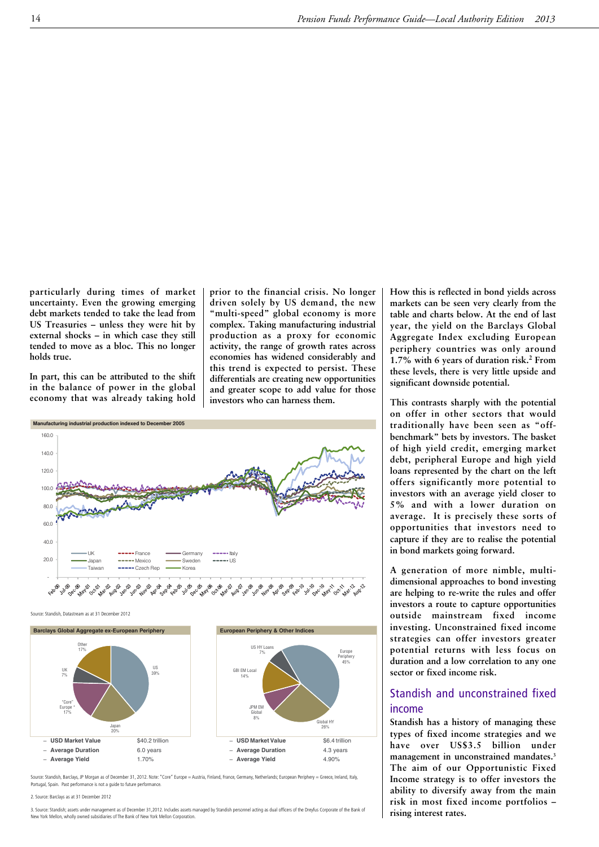**particularly during times of market uncertainty. Even the growing emerging debt markets tended to take the lead from US Treasuries – unless they were hit by external shocks – in which case they still tended to move as a bloc. This no longer holds true.**

**In part, this can be attributed to the shift in the balance of power in the global economy that was already taking hold** **prior to the financial crisis. No longer driven solely by US demand, the new "multi-speed" global economy is more complex. Taking manufacturing industrial production as a proxy for economic activity, the range of growth rates across economies has widened considerably and this trend is expected to persist. These differentials are creating new opportunities and greater scope to add value for those investors who can harness them.**



Source: Standish, Datastream as at 31 December 2012



Source: Standish, Barclays, JP Morgan as of December 31, 2012. Note: "Core" Europe = Austria, Finland, France, Germany, Netherlands; European Periphery = Greece, Ireland, Italy, Portugal, Spain. Past performance is not a guide to future performance.

2. Source: Barclays as at 31 December 2012

3. Source: Standish; assets under management as of December 31,2012. Includes assets managed by Standish personnel acting as dual officers of the Dreyfus Corporate of the Bank of New York Mellon, wholly owned subsidiaries of The Bank of New York Mellon Corporation.

**How this is reflected in bond yields across markets can be seen very clearly from the table and charts below. At the end of last year, the yield on the Barclays Global Aggregate Index excluding European periphery countries was only around 1.7% with 6 years of duration risk. <sup>2</sup> From these levels, there is very little upside and significant downside potential.**

**This contrasts sharply with the potential on offer in other sectors that would traditionally have been seen as "offbenchmark" bets by investors. The basket of high yield credit, emerging market debt, peripheral Europe and high yield loans represented by the chart on the left offers significantly more potential to investors with an average yield closer to 5% and with a lower duration on average. It is precisely these sorts of opportunities that investors need to capture if they are to realise the potential in bond markets going forward.**

**A generation of more nimble, multidimensional approaches to bond investing are helping to re-write the rules and offer investors a route to capture opportunities outside mainstream fixed income investing. Unconstrained fixed income strategies can offer investors greater potential returns with less focus on duration and a low correlation to any one sector or fixed income risk.**

## Standish and unconstrained fixed income

**Standish has a history of managing these types of fixed income strategies and we have over US\$3.5 billion under management in unconstrained mandates.3 The aim of our Opportunistic Fixed Income strategy is to offer investors the ability to diversify away from the main risk in most fixed income portfolios – rising interest rates.**